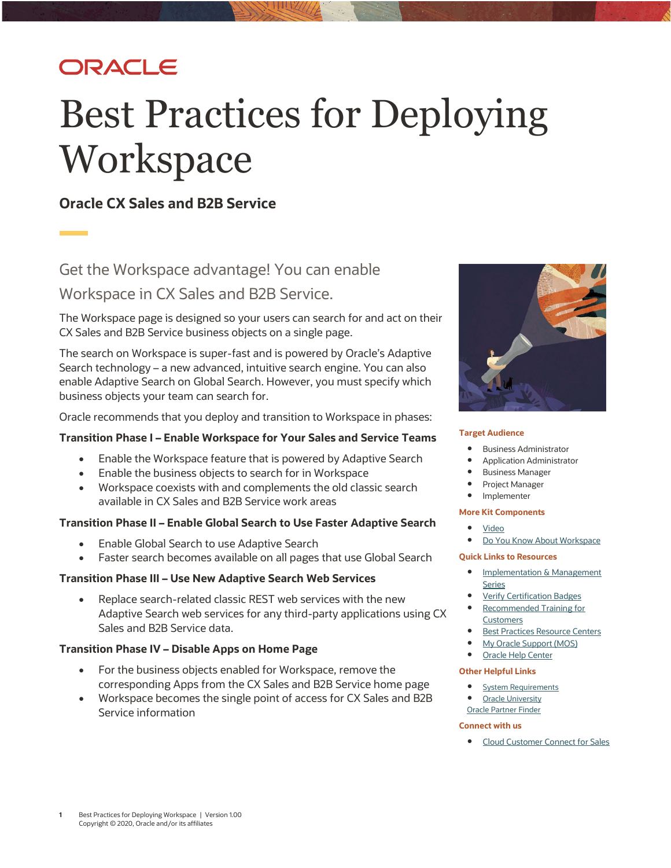# ORACLE

# Best Practices for Deploying **Workspace**

# **Oracle CX Sales and B2B Service**

Get the Workspace advantage! You can enable Workspace in CX Sales and B2B Service.

The Workspace page is designed so your users can search for and act on their CX Sales and B2B Service business objects on a single page.

The search on Workspace is super-fast and is powered by Oracle's Adaptive Search technology – a new advanced, intuitive search engine. You can also enable Adaptive Search on Global Search. However, you must specify which business objects your team can search for.

Oracle recommends that you deploy and transition to Workspace in phases:

#### **Transition Phase I – Enable Workspace for Your Sales and Service Teams**

- Enable the Workspace feature that is powered by Adaptive Search
- Enable the business objects to search for in Workspace
- Workspace coexists with and complements the old classic search available in CX Sales and B2B Service work areas

#### **Transition Phase II – Enable Global Search to Use Faster Adaptive Search**

- Enable Global Search to use Adaptive Search
- Faster search becomes available on all pages that use Global Search

#### **Transition Phase III – Use New Adaptive Search Web Services**

• Replace search-related classic REST web services with the new Adaptive Search web services for any third-party applications using CX Sales and B2B Service data.

#### **Transition Phase IV – Disable Apps on Home Page**

- For the business objects enabled for Workspace, remove the corresponding Apps from the CX Sales and B2B Service home page
- Workspace becomes the single point of access for CX Sales and B2B Service information



#### **Target Audience**

- Business Administrator
- Application Administrator
- Business Manager
- Project Manager
- Implementer

#### **More Kit Components**

- [Video](https://videohub.oracle.com/media/t/1_u0sl7kwb)
- [Do You Know](https://www.oracle.com/webfolder/cx-implementation/workspace-dyk.pdf) About Workspace

#### **Quick Links to Resources**

- **Implementation & Management [Series](https://www.oracle.com/a/ocom/docs/implementation-and-management-series.pdf)**
- [Verify Certification Badges](https://www.youracclaim.com/org/oracle/verify)
- [Recommended Training for](https://www.oracle.com/a/ocom/docs/recommended-training-and-certification-for-customers.pdf)  **[Customers](https://www.oracle.com/a/ocom/docs/recommended-training-and-certification-for-customers.pdf)**
- [Best Practices Resource Centers](https://www.oracle.com/a/ocom/docs/resource-centers-and-implementation-notes.pdf)
- [My Oracle Support \(MOS\)](https://support.oracle.com/epmos/faces/MosIndex.jspx?_afrLoop=578622290143934&_afrWindowMode=0&_adf.ctrl-state=2qo3ce9t9_53)
- [Oracle Help Center](http://www.oracle.com/pls/topic/lookup?ctx=cloud&id=engagement)

#### **Other Helpful Links**

- [System Requirements](https://www.oracle.com/system-requirements/)
- **[Oracle University](https://education.oracle.com/saas-cx/cx-sales/pFamily_657)** [Oracle Partner Finder](https://partner-finder.oracle.com/)

#### **Connect with us**

• [Cloud Customer Connect](https://cloudcustomerconnect.oracle.com/resources/110dfe9610/summary) for Sales